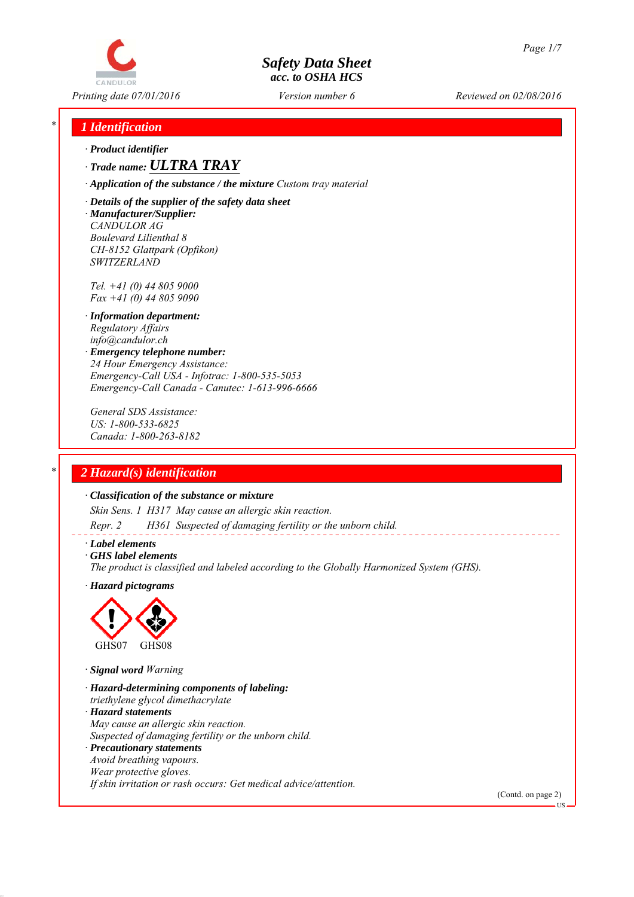

*Printing date 07/01/2016 Reviewed on 02/08/2016 Version number 6*

# *\* 1 Identification*

*∙ Product identifier*

*∙ Trade name: ULTRA TRAY*

*∙ Application of the substance / the mixture Custom tray material*

*∙ Details of the supplier of the safety data sheet ∙ Manufacturer/Supplier: CANDULOR AG Boulevard Lilienthal 8 CH-8152 Glattpark (Opfikon) SWITZERLAND*

*Tel. +41 (0) 44 805 9000 Fax +41 (0) 44 805 9090*

- *∙ Information department: Regulatory Affairs info@candulor.ch*
- *∙ Emergency telephone number: 24 Hour Emergency Assistance: Emergency-Call USA - Infotrac: 1-800-535-5053 Emergency-Call Canada - Canutec: 1-613-996-6666*

*General SDS Assistance: US: 1-800-533-6825 Canada: 1-800-263-8182*

# *\* 2 Hazard(s) identification*

## *∙ Classification of the substance or mixture*

*Skin Sens. 1 H317 May cause an allergic skin reaction.*

*Repr. 2 H361 Suspected of damaging fertility or the unborn child.*

## *∙ Label elements*

*∙ GHS label elements*

*The product is classified and labeled according to the Globally Harmonized System (GHS).*

*∙ Hazard pictograms*



*∙ Signal word Warning*

- *∙ Hazard-determining components of labeling: triethylene glycol dimethacrylate ∙ Hazard statements May cause an allergic skin reaction. Suspected of damaging fertility or the unborn child. ∙ Precautionary statements Avoid breathing vapours. Wear protective gloves.*
- *If skin irritation or rash occurs: Get medical advice/attention.*

(Contd. on page 2)

US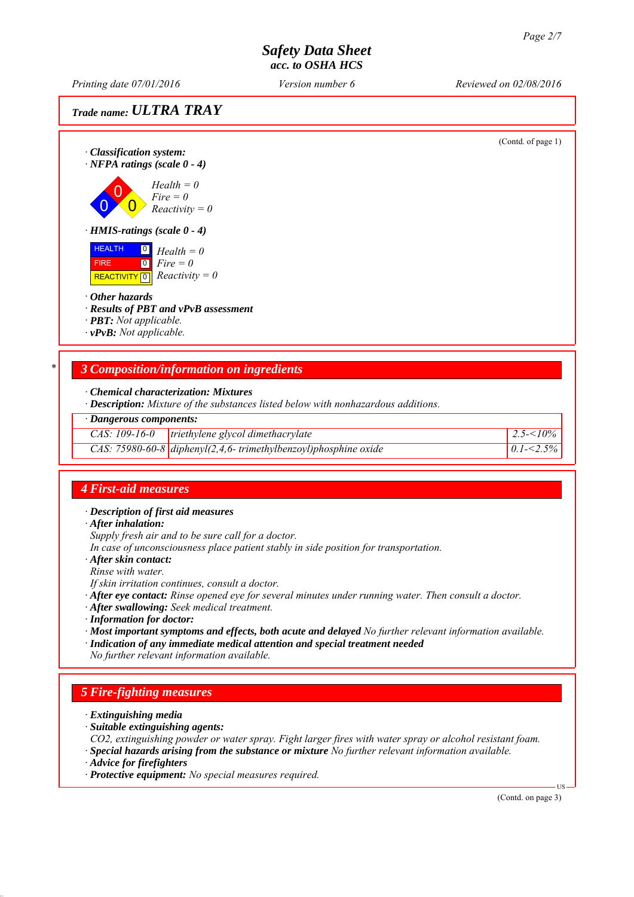*Printing date 07/01/2016 Reviewed on 02/08/2016 Version number 6*

*Trade name: ULTRA TRAY*



| $\cdot$ Dangerous components: |                                                                              |                                      |  |
|-------------------------------|------------------------------------------------------------------------------|--------------------------------------|--|
|                               | $CAS: 109-16-0$ triethylene glycol dimethacrylate                            | $\frac{2.5}{5}$ 2.5 $\frac{10\%}{5}$ |  |
|                               | $\overline{CAS:}$ 75980-60-8 diphenyl(2,4,6-trimethylbenzoyl)phosphine oxide | $0.1 - 2.5\%$                        |  |

## *4 First-aid measures*

*∙ Description of first aid measures*

*∙ After inhalation:*

*Supply fresh air and to be sure call for a doctor.*

*In case of unconsciousness place patient stably in side position for transportation.*

*∙ After skin contact:*

*Rinse with water.*

*If skin irritation continues, consult a doctor.*

*∙ After eye contact: Rinse opened eye for several minutes under running water. Then consult a doctor.*

*∙ After swallowing: Seek medical treatment.*

*∙ Information for doctor:*

*∙ Most important symptoms and effects, both acute and delayed No further relevant information available.*

*∙ Indication of any immediate medical attention and special treatment needed*

*No further relevant information available.*

# *5 Fire-fighting measures*

- *∙ Extinguishing media*
- *∙ Suitable extinguishing agents:*
- *CO2, extinguishing powder or water spray. Fight larger fires with water spray or alcohol resistant foam.*
- *∙ Special hazards arising from the substance or mixture No further relevant information available.*
- *∙ Advice for firefighters*

*∙ Protective equipment: No special measures required.*

(Contd. on page 3)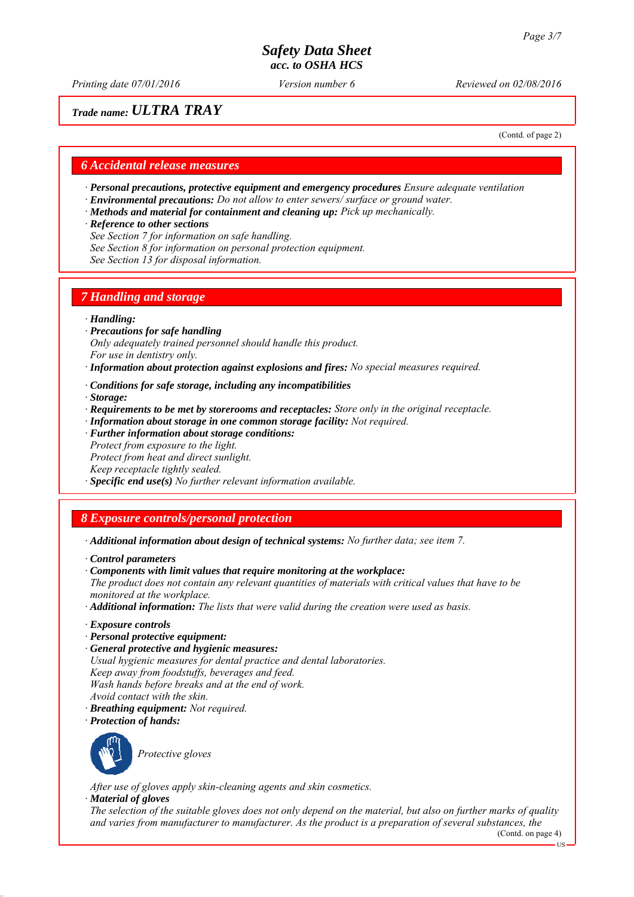*Printing date 07/01/2016 Reviewed on 02/08/2016 Version number 6*

# *Trade name: ULTRA TRAY*

(Contd. of page 2)

## *6 Accidental release measures*

- *∙ Personal precautions, protective equipment and emergency procedures Ensure adequate ventilation*
- *∙ Environmental precautions: Do not allow to enter sewers/ surface or ground water.*
- *∙ Methods and material for containment and cleaning up: Pick up mechanically.*
- *∙ Reference to other sections*
- *See Section 7 for information on safe handling.*
- *See Section 8 for information on personal protection equipment.*
- *See Section 13 for disposal information.*

## *7 Handling and storage*

## *∙ Handling:*

- *∙ Precautions for safe handling Only adequately trained personnel should handle this product. For use in dentistry only.*
- *∙ Information about protection against explosions and fires: No special measures required.*
- *∙ Conditions for safe storage, including any incompatibilities*
- *∙ Storage:*
- *∙ Requirements to be met by storerooms and receptacles: Store only in the original receptacle.*
- *∙ Information about storage in one common storage facility: Not required.*
- *∙ Further information about storage conditions: Protect from exposure to the light. Protect from heat and direct sunlight.*
- *Keep receptacle tightly sealed.*

*∙ Specific end use(s) No further relevant information available.*

# *8 Exposure controls/personal protection*

- *∙ Additional information about design of technical systems: No further data; see item 7.*
- *∙ Control parameters*
- *∙ Components with limit values that require monitoring at the workplace:*
- *The product does not contain any relevant quantities of materials with critical values that have to be monitored at the workplace.*
- *∙ Additional information: The lists that were valid during the creation were used as basis.*
- *∙ Exposure controls*
- *∙ Personal protective equipment:*
- *∙ General protective and hygienic measures:*
- *Usual hygienic measures for dental practice and dental laboratories.*
- *Keep away from foodstuffs, beverages and feed.*
- *Wash hands before breaks and at the end of work.*
- *Avoid contact with the skin.*
- *∙ Breathing equipment: Not required.*
- *∙ Protection of hands:*



*Protective gloves*

*After use of gloves apply skin-cleaning agents and skin cosmetics.*

## *∙ Material of gloves*

*The selection of the suitable gloves does not only depend on the material, but also on further marks of quality and varies from manufacturer to manufacturer. As the product is a preparation of several substances, the*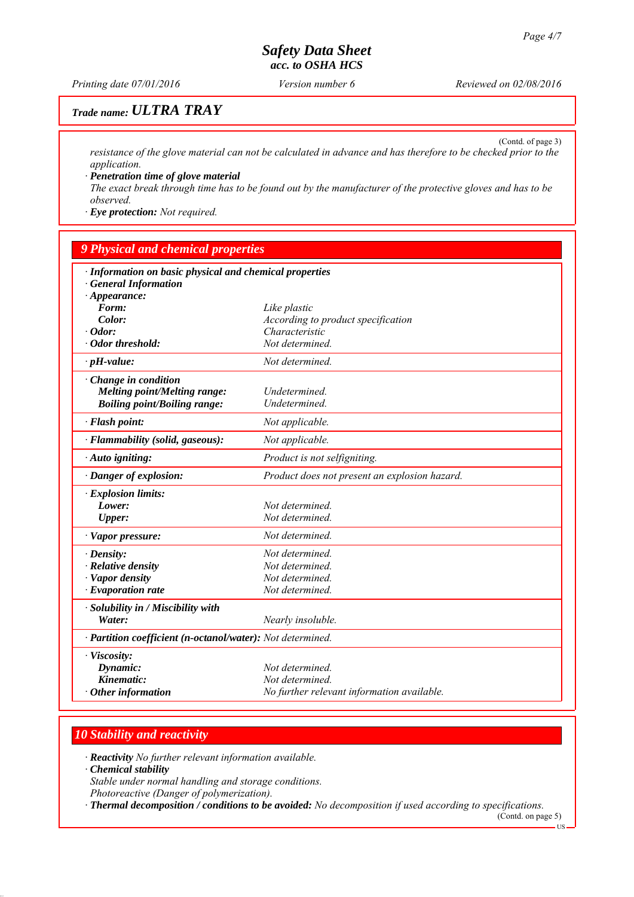*Printing date 07/01/2016 Reviewed on 02/08/2016 Version number 6*

(Contd. of page 3)

# *Trade name: ULTRA TRAY*

*resistance of the glove material can not be calculated in advance and has therefore to be checked prior to the application.*

*∙ Penetration time of glove material The exact break through time has to be found out by the manufacturer of the protective gloves and has to be observed.*

*∙ Eye protection: Not required.*

## *9 Physical and chemical properties*

| · Information on basic physical and chemical properties<br><b>General Information</b> |                                               |  |  |
|---------------------------------------------------------------------------------------|-----------------------------------------------|--|--|
| $\cdot$ Appearance:                                                                   |                                               |  |  |
| Form:                                                                                 | Like plastic                                  |  |  |
| Color:                                                                                | According to product specification            |  |  |
| $\cdot$ Odor:                                                                         | Characteristic                                |  |  |
| · Odor threshold:                                                                     | Not determined.                               |  |  |
| $\cdot$ pH-value:                                                                     | Not determined.                               |  |  |
| Change in condition                                                                   |                                               |  |  |
| Melting point/Melting range:                                                          | Undetermined.                                 |  |  |
| <b>Boiling point/Boiling range:</b>                                                   | Undetermined.                                 |  |  |
| · Flash point:                                                                        | Not applicable.                               |  |  |
| · Flammability (solid, gaseous):                                                      | Not applicable.                               |  |  |
| · Auto igniting:                                                                      | Product is not selfigniting.                  |  |  |
| · Danger of explosion:                                                                | Product does not present an explosion hazard. |  |  |
| · Explosion limits:                                                                   |                                               |  |  |
| Lower:                                                                                | Not determined.                               |  |  |
| <b>Upper:</b>                                                                         | Not determined.                               |  |  |
| · Vapor pressure:                                                                     | Not determined.                               |  |  |
| $\cdot$ Density:                                                                      | Not determined.                               |  |  |
| · Relative density                                                                    | Not determined.                               |  |  |
| · Vapor density                                                                       | Not determined.                               |  |  |
| $\cdot$ Evaporation rate                                                              | Not determined.                               |  |  |
| · Solubility in / Miscibility with                                                    |                                               |  |  |
| Water:                                                                                | Nearly insoluble.                             |  |  |
| · Partition coefficient (n-octanol/water): Not determined.                            |                                               |  |  |
| · Viscosity:                                                                          |                                               |  |  |
| Dynamic:                                                                              | Not determined.                               |  |  |
| Kinematic:                                                                            | Not determined.                               |  |  |
| $\cdot$ Other information                                                             | No further relevant information available.    |  |  |

## *10 Stability and reactivity*

*∙ Reactivity No further relevant information available.*

*∙ Chemical stability*

*Stable under normal handling and storage conditions. Photoreactive (Danger of polymerization).*

*∙ Thermal decomposition / conditions to be avoided: No decomposition if used according to specifications.*

(Contd. on page 5)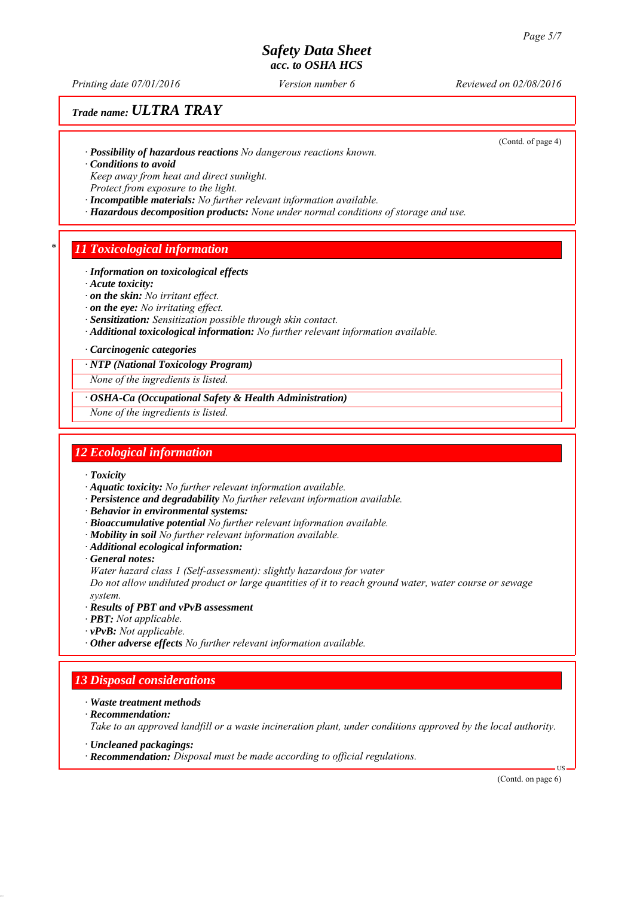*Printing date 07/01/2016 Reviewed on 02/08/2016 Version number 6*

(Contd. of page 4)

# *Trade name: ULTRA TRAY*

*∙ Possibility of hazardous reactions No dangerous reactions known.*

*∙ Conditions to avoid*

*Keep away from heat and direct sunlight.*

*Protect from exposure to the light.*

- *∙ Incompatible materials: No further relevant information available.*
- *∙ Hazardous decomposition products: None under normal conditions of storage and use.*

## *\* 11 Toxicological information*

### *∙ Information on toxicological effects*

*∙ Acute toxicity:*

- *∙ on the skin: No irritant effect.*
- *∙ on the eye: No irritating effect.*
- *∙ Sensitization: Sensitization possible through skin contact.*
- *∙ Additional toxicological information: No further relevant information available.*

### *∙ Carcinogenic categories*

*∙ NTP (National Toxicology Program)*

*None of the ingredients is listed.*

*∙ OSHA-Ca (Occupational Safety & Health Administration)*

*None of the ingredients is listed.*

## *12 Ecological information*

- *∙ Toxicity*
- *∙ Aquatic toxicity: No further relevant information available.*
- *∙ Persistence and degradability No further relevant information available.*
- *∙ Behavior in environmental systems:*
- *∙ Bioaccumulative potential No further relevant information available.*
- *∙ Mobility in soil No further relevant information available.*
- *∙ Additional ecological information:*
- *∙ General notes:*

*Water hazard class 1 (Self-assessment): slightly hazardous for water*

*Do not allow undiluted product or large quantities of it to reach ground water, water course or sewage system.*

- *∙ Results of PBT and vPvB assessment*
- *∙ PBT: Not applicable.*
- *∙ vPvB: Not applicable.*
- *∙ Other adverse effects No further relevant information available.*

## *13 Disposal considerations*

- *∙ Waste treatment methods*
- *∙ Recommendation:*

*Take to an approved landfill or a waste incineration plant, under conditions approved by the local authority.*

- *∙ Uncleaned packagings:*
- *∙ Recommendation: Disposal must be made according to official regulations.*

(Contd. on page 6)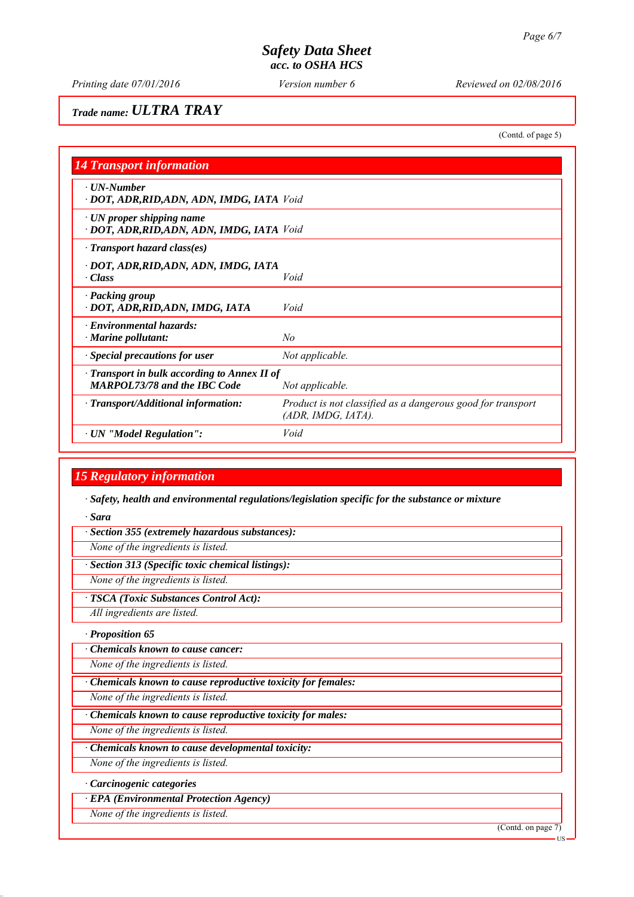(Contd. of page 5)

# *Trade name: ULTRA TRAY*

*14 Transport information ∙ UN-Number ∙ DOT, ADR,RID,ADN, ADN, IMDG, IATA Void ∙ UN proper shipping name ∙ DOT, ADR,RID,ADN, ADN, IMDG, IATA Void ∙ Transport hazard class(es) ∙ DOT, ADR,RID,ADN, ADN, IMDG, IATA ∙ Class Void ∙ Packing group ∙ DOT, ADR,RID,ADN, IMDG, IATA Void ∙ Environmental hazards: ∙ Marine pollutant: No ∙ Special precautions for user Not applicable. ∙ Transport in bulk according to Annex II of MARPOL73/78 and the IBC Code Not applicable. ∙ Transport/Additional information: Product is not classified as a dangerous good for transport (ADR, IMDG, IATA). ∙ UN "Model Regulation": Void*

# *15 Regulatory information*

*∙ Safety, health and environmental regulations/legislation specific for the substance or mixture*

*∙ Sara*

*∙ Section 355 (extremely hazardous substances):*

*None of the ingredients is listed.*

*∙ Section 313 (Specific toxic chemical listings):*

*None of the ingredients is listed.*

*∙ TSCA (Toxic Substances Control Act):*

*All ingredients are listed.*

*∙ Proposition 65*

*∙ Chemicals known to cause cancer:*

*None of the ingredients is listed.*

*∙ Chemicals known to cause reproductive toxicity for females:*

*None of the ingredients is listed.*

*∙ Chemicals known to cause reproductive toxicity for males:*

*None of the ingredients is listed.*

*∙ Chemicals known to cause developmental toxicity:*

*None of the ingredients is listed.*

*∙ Carcinogenic categories*

*∙ EPA (Environmental Protection Agency)*

*None of the ingredients is listed.*

(Contd. on page 7)

US